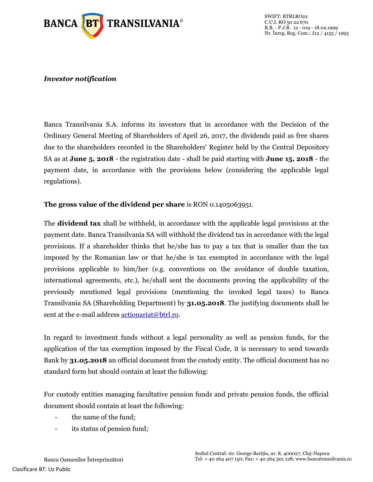

## *Investor notification*

Banca Transilvania S.A. informs its investors that in accordance with the Decision of the Ordinary General Meeting of Shareholders of April 26, 2017, the dividends paid as free shares due to the shareholders recorded in the Shareholders' Register held by the Central Depository SA as at **June 5, 2018** - the registration date - shall be paid starting with **June 15, 2018** - the payment date, in accordance with the provisions below (considering the applicable legal regulations).

## **The gross value of the dividend per share** is RON 0.1405063951.

The **dividend tax** shall be withheld, in accordance with the applicable legal provisions at the payment date. Banca Transilvania SA will withhold the dividend tax in accordance with the legal provisions. If a shareholder thinks that he/she has to pay a tax that is smaller than the tax imposed by the Romanian law or that he/she is tax exempted in accordance with the legal provisions applicable to him/her (e.g. conventions on the avoidance of double taxation, international agreements, etc.), he/shall sent the documents proving the applicability of the previously mentioned legal provisions (mentioning the invoked legal taxes) to Banca Transilvania SA (Shareholding Department) by **31.05.2018**. The justifying documents shall be sent at the e-mail address **actionariat@btrl.ro.** 

In regard to investment funds without a legal personality as well as pension funds, for the application of the tax exemption imposed by the Fiscal Code, it is necessary to send towards Bank by **31.05.2018** an official document from the custody entity. The official document has no standard form but should contain at least the following:

For custody entities managing facultative pension funds and private pension funds, the official document should contain at least the following:

- the name of the fund;
- its status of pension fund;